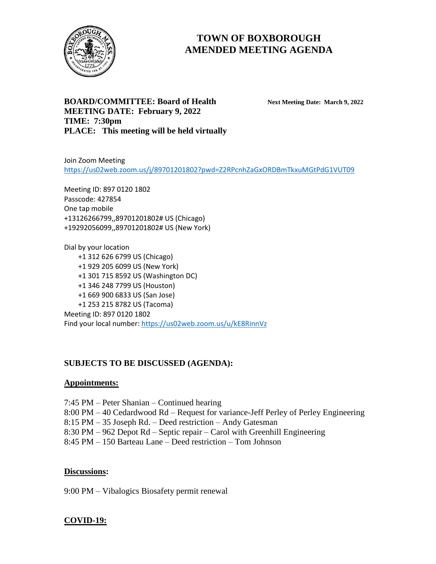

# **TOWN OF BOXBOROUGH AMENDED MEETING AGENDA**

**BOARD/COMMITTEE: Board of Health Next Meeting Date: March 9, 2022 MEETING DATE: February 9, 2022 TIME: 7:30pm PLACE: This meeting will be held virtually** 

Join Zoom Meeting <https://us02web.zoom.us/j/89701201802?pwd=Z2RPcnhZaGxORDBmTkxuMGtPdG1VUT09>

Meeting ID: 897 0120 1802 Passcode: 427854 One tap mobile +13126266799,,89701201802# US (Chicago) +19292056099,,89701201802# US (New York)

Dial by your location +1 312 626 6799 US (Chicago) +1 929 205 6099 US (New York) +1 301 715 8592 US (Washington DC) +1 346 248 7799 US (Houston) +1 669 900 6833 US (San Jose) +1 253 215 8782 US (Tacoma) Meeting ID: 897 0120 1802 Find your local number[: https://us02web.zoom.us/u/kE8RinnVz](https://us02web.zoom.us/u/kE8RinnVz)

# **SUBJECTS TO BE DISCUSSED (AGENDA):**

#### **Appointments:**

7:45 PM – Peter Shanian – Continued hearing 8:00 PM – 40 Cedardwood Rd – Request for variance-Jeff Perley of Perley Engineering 8:15 PM – 35 Joseph Rd. – Deed restriction – Andy Gatesman 8:30 PM – 962 Depot Rd – Septic repair – Carol with Greenhill Engineering 8:45 PM – 150 Barteau Lane – Deed restriction – Tom Johnson

#### **Discussions:**

9:00 PM – Vibalogics Biosafety permit renewal

#### **COVID-19:**